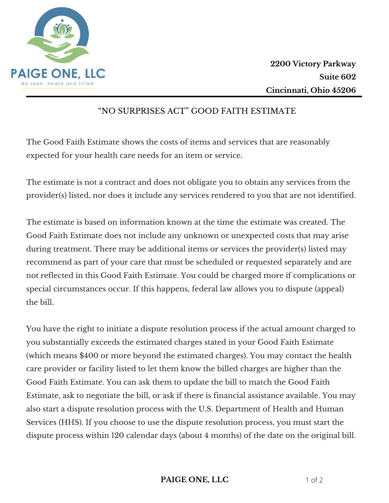

## "NO SURPRISES ACT" GOOD FAITH ESTIMATE

The Good Faith Estimate shows the costs of items and services that are reasonably expected for your health care needs for an item or service.

The estimate is not a contract and does not obligate you to obtain any services from the provider(s) listed, nor does it include any services rendered to you that are not identified.

The estimate is based on information known at the time the estimate was created. The Good Faith Estimate does not include any unknown or unexpected costs that may arise during treatment. There may be additional items or services the provider(s) listed may recommend as part of your care that must be scheduled or requested separately and are not reflected in this Good Faith Estimate. You could be charged more if complications or special circumstances occur. If this happens, federal law allows you to dispute (appeal) the bill.

You have the right to initiate a dispute resolution process if the actual amount charged to you substantially exceeds the estimated charges stated in your Good Faith Estimate (which means \$400 or more beyond the estimated charges). You may contact the health care provider or facility listed to let them know the billed charges are higher than the Good Faith Estimate. You can ask them to update the bill to match the Good Faith Estimate, ask to negotiate the bill, or ask if there is financial assistance available. You may also start a dispute resolution process with the U.S. Department of Health and Human Services (HHS). If you choose to use the dispute resolution process, you must start the dispute process within 120 calendar days (about 4 months) of the date on the original bill.